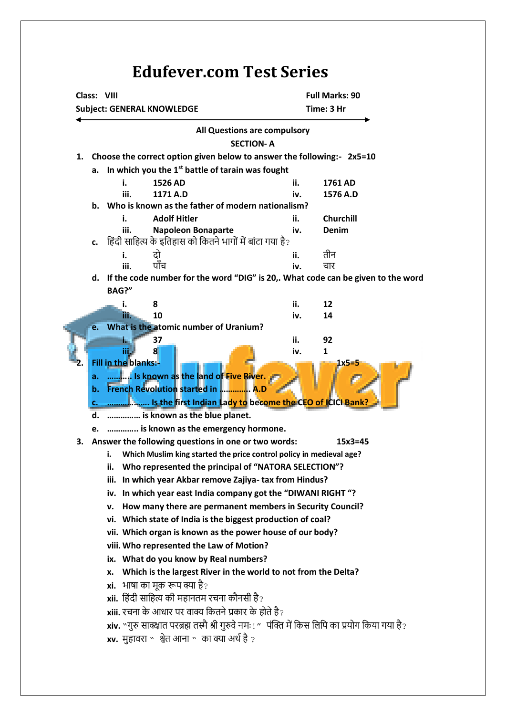## **Edufever.com Test Series**

|    | Class: VIII<br><b>Subject: GENERAL KNOWLEDGE</b>                       |                                                                                                   |                                                                         |                              | <b>Full Marks: 90</b><br>Time: 3 Hr |                  |  |
|----|------------------------------------------------------------------------|---------------------------------------------------------------------------------------------------|-------------------------------------------------------------------------|------------------------------|-------------------------------------|------------------|--|
|    |                                                                        |                                                                                                   |                                                                         | All Questions are compulsory |                                     |                  |  |
|    | <b>SECTION-A</b>                                                       |                                                                                                   |                                                                         |                              |                                     |                  |  |
| 1. | Choose the correct option given below to answer the following:- 2x5=10 |                                                                                                   |                                                                         |                              |                                     |                  |  |
|    | In which you the 1 <sup>st</sup> battle of tarain was fought<br>a.     |                                                                                                   |                                                                         |                              |                                     |                  |  |
|    |                                                                        | i.                                                                                                | 1526 AD                                                                 |                              | ii.                                 | 1761 AD          |  |
|    |                                                                        | iii.                                                                                              | 1171 A.D                                                                |                              | iv.                                 | 1576 A.D         |  |
|    |                                                                        | b. Who is known as the father of modern nationalism?                                              |                                                                         |                              |                                     |                  |  |
|    |                                                                        | i.                                                                                                | <b>Adolf Hitler</b>                                                     |                              | ii.                                 | <b>Churchill</b> |  |
|    |                                                                        | iii.                                                                                              | <b>Napoleon Bonaparte</b>                                               |                              | iv.                                 | Denim            |  |
|    | c.                                                                     |                                                                                                   | हिंदी साहित्य के इतिहास को कितने भागों में बांटा गया है?                |                              |                                     |                  |  |
|    |                                                                        | i.                                                                                                | दो<br>पाँच                                                              |                              | ii.                                 | तीन              |  |
|    |                                                                        | iii.                                                                                              |                                                                         |                              | iv.                                 | चार              |  |
|    |                                                                        | d. If the code number for the word "DIG" is 20,. What code can be given to the word<br>BAG?"      |                                                                         |                              |                                     |                  |  |
|    |                                                                        |                                                                                                   |                                                                         |                              |                                     |                  |  |
|    |                                                                        | m                                                                                                 | 8<br>10                                                                 |                              | ii.<br>iv.                          | 12<br>14         |  |
|    |                                                                        |                                                                                                   | What is the atomic number of Uranium?                                   |                              |                                     |                  |  |
|    |                                                                        |                                                                                                   | 37                                                                      |                              | ii.                                 | 92               |  |
|    |                                                                        | iii.                                                                                              | 8                                                                       |                              | iv.                                 | 1                |  |
|    |                                                                        | Fill in the blanks:-                                                                              |                                                                         |                              |                                     |                  |  |
|    | a.                                                                     | Is known as the land of Five River.                                                               |                                                                         |                              |                                     |                  |  |
|    | b.                                                                     | French Revolution started in  A.D                                                                 |                                                                         |                              |                                     |                  |  |
|    | с.                                                                     |                                                                                                   | <mark></mark> Is the first Indian Lady to become the CEO of ICICI Bank? |                              |                                     |                  |  |
|    | d.                                                                     |                                                                                                   | is known as the blue planet.                                            |                              |                                     |                  |  |
|    |                                                                        | e.  is known as the emergency hormone.                                                            |                                                                         |                              |                                     |                  |  |
| 3. | Answer the following questions in one or two words:<br>$15x3 = 45$     |                                                                                                   |                                                                         |                              |                                     |                  |  |
|    |                                                                        | i.                                                                                                | Which Muslim king started the price control policy in medieval age?     |                              |                                     |                  |  |
|    |                                                                        | Who represented the principal of "NATORA SELECTION"?                                              |                                                                         |                              |                                     |                  |  |
|    |                                                                        | In which year Akbar remove Zajiya- tax from Hindus?<br>iii.                                       |                                                                         |                              |                                     |                  |  |
|    |                                                                        | iv. In which year east India company got the "DIWANI RIGHT"?                                      |                                                                         |                              |                                     |                  |  |
|    |                                                                        | How many there are permanent members in Security Council?<br>v.                                   |                                                                         |                              |                                     |                  |  |
|    |                                                                        | vi. Which state of India is the biggest production of coal?                                       |                                                                         |                              |                                     |                  |  |
|    |                                                                        | vii. Which organ is known as the power house of our body?                                         |                                                                         |                              |                                     |                  |  |
|    |                                                                        | viii. Who represented the Law of Motion?                                                          |                                                                         |                              |                                     |                  |  |
|    |                                                                        | ix. What do you know by Real numbers?                                                             |                                                                         |                              |                                     |                  |  |
|    | Which is the largest River in the world to not from the Delta?<br>x.   |                                                                                                   |                                                                         |                              |                                     |                  |  |
|    |                                                                        | xi.                                                                                               | भाषा का मूक रूप क्या है?                                                |                              |                                     |                  |  |
|    |                                                                        |                                                                                                   | <b>xii.</b> हिंदी साहित्य की महानतम रचना कौनसी है?                      |                              |                                     |                  |  |
|    |                                                                        | xiii. रचना के आधार पर वाक्य कितने प्रकार के होते है?                                              |                                                                         |                              |                                     |                  |  |
|    |                                                                        | xiv. "गुरु साक्क्षात परब्रह्म तस्मै श्री गुरुवे नमः ! "पंक्ति में किस लिपि का प्रयोग किया गया है? |                                                                         |                              |                                     |                  |  |
|    |                                                                        |                                                                                                   |                                                                         |                              |                                     |                  |  |